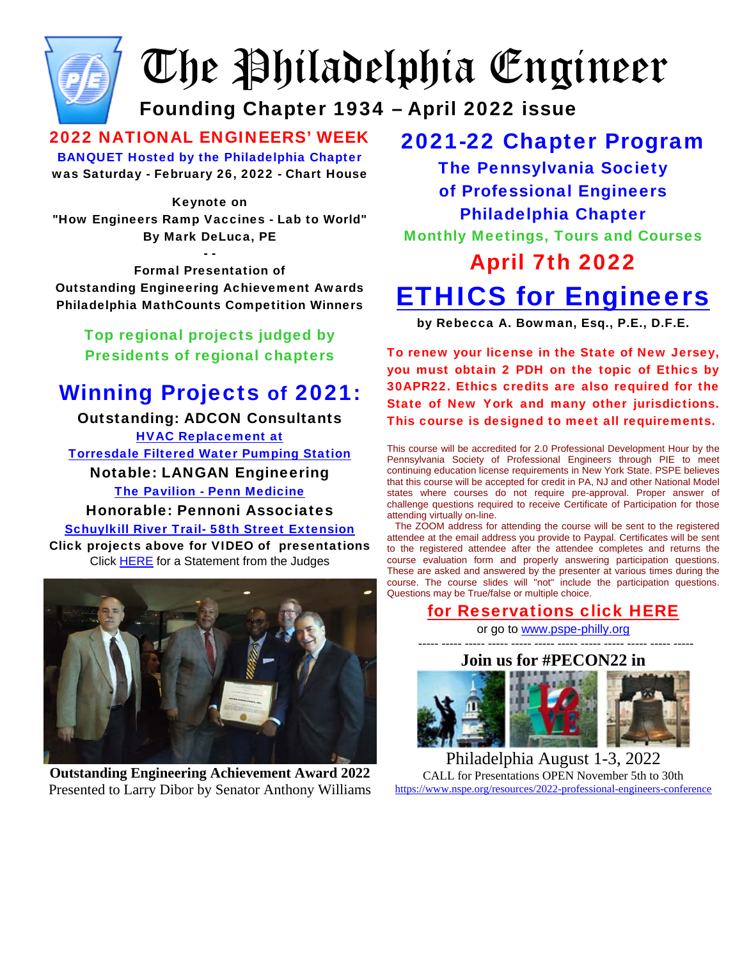

# The Philadelphia Engineer

# Founding Chapter 1934 – April 2022 issue

2022 NATIONAL ENGINEERS' WEEK BANQUET Hosted by the Philadelphia Chapter was Saturday - February 26, 2022 - Chart House

#### Keynote on

"How Engineers Ramp Vaccines - Lab to World" By Mark DeLuca, PE

- -

Formal Presentation of Outstanding Engineering Achievement Awards Philadelphia MathCounts Competition Winners

Top regional projects judged by Presidents of regional chapters

## Winning Projects of 2021:

Outstanding: ADCON Consultants [HVAC Replacement at](http://www.pspe-philly.org/oea/2021OEA/TorresdalePumpingStation.mp4) [Torresdale Filtered Water Pumping Station](http://www.pspe-philly.org/oea/2021OEA/TorresdalePumpingStation.mp4) Notable: LANGAN Engineering [The Pavilion - Penn Medicine](http://www.pspe-philly.org/oea/2021OEA/Penn%20Medicine%20Pavilion%20PSPE%20Award%20Slides.mp4) Honorable: Pennoni Associates [Schuylkill River Trail- 58th Street Extension](https://pennoni1-my.sharepoint.com/:v:/g/personal/ldouthwaite_pennoni_com/EXNw5diO5tlJn43Mz2rVuNUB7kq7MsnY1BhPkHmzkIjY0A?e=UEdRBK) Click projects above for VIDEO of presentations Click [HERE](http://www.pspe-philly.org/oea/2021OEA/OEAAward2021decision.pdf) for a Statement from the Judges



**Outstanding Engineering Achievement Award 2022**  Presented to Larry Dibor by Senator Anthony Williams

### 2021-22 Chapter Program

The Pennsylvania Society of Professional Engineers Philadelphia Chapter Monthly Meetings, Tours and Courses

# April 7th 2022 [ETHICS for Engineers](http://pspe-philly.org/programs/flyer.pdf)

by Rebecca A. Bowman, Esq., P.E., D.F.E.

To renew your license in the State of New Jersey, you must obtain 2 PDH on the topic of Ethics by 30APR22. Ethics credits are also required for the State of New York and many other jurisdictions. This course is designed to meet all requirements.

This course will be accredited for 2.0 Professional Development Hour by the Pennsylvania Society of Professional Engineers through PIE to meet continuing education license requirements in New York State. PSPE believes that this course will be accepted for credit in PA, NJ and other National Model states where courses do not require pre-approval. Proper answer of challenge questions required to receive Certificate of Participation for those attending virtually on-line.

 The ZOOM address for attending the course will be sent to the registered attendee at the email address you provide to Paypal. Certificates will be sent to the registered attendee after the attendee completes and returns the course evaluation form and properly answering participation questions. These are asked and answered by the presenter at various times during the course. The course slides will "not" include the participation questions. Questions may be True/false or multiple choice.

#### [for Reservations click HERE](http://pspe-philly.org/#reservations)

or go to [www.pspe-philly.org](http://www.pspe-philly.org/)  ----- ----- ----- ----- ----- ----- ----- ----- ----- ----- ----- -----



Philadelphia August 1-3, 2022 CALL for Presentations OPEN November 5th to 30th <https://www.nspe.org/resources/2022-professional-engineers-conference>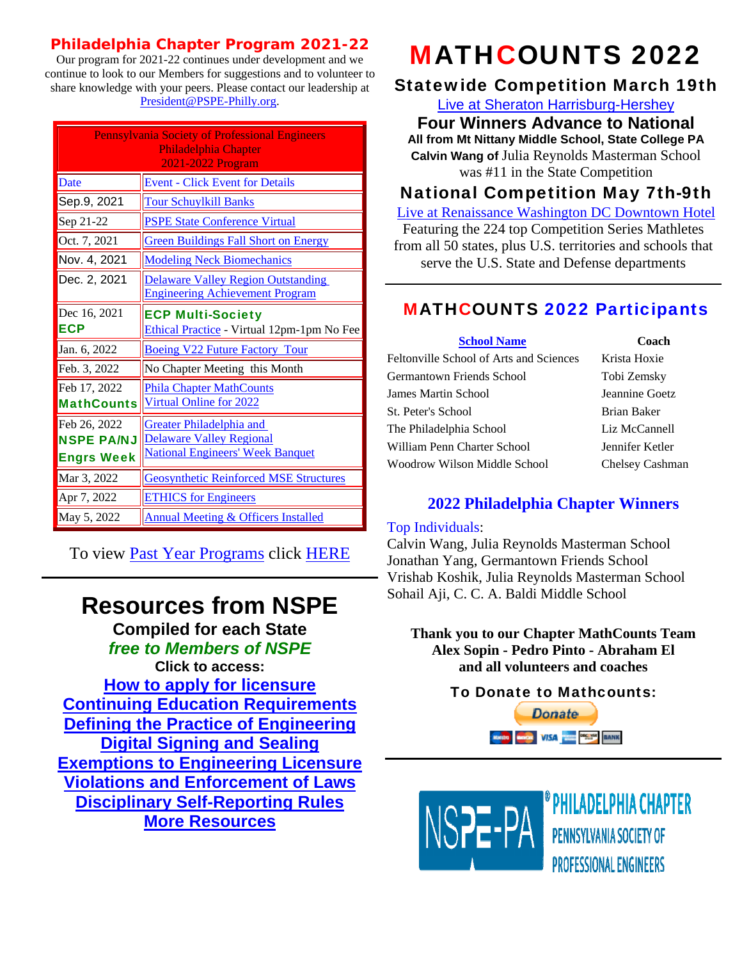#### **Philadelphia Chapter Program 2021-22**

Our program for 2021-22 continues under development and we continue to look to our Members for suggestions and to volunteer to share knowledge with your peers. Please contact our leadership at [President@PSPE-Philly.org](mailto:President@PSPE-Philly.org).

| <b>Pennsylvania Society of Professional Engineers</b><br>Philadelphia Chapter<br>2021-2022 Program |                                                                                                               |  |
|----------------------------------------------------------------------------------------------------|---------------------------------------------------------------------------------------------------------------|--|
| Date                                                                                               | <b>Event - Click Event for Details</b>                                                                        |  |
| Sep.9, 2021                                                                                        | <b>Tour Schuylkill Banks</b>                                                                                  |  |
| Sep 21-22                                                                                          | <b>PSPE State Conference Virtual</b>                                                                          |  |
| Oct. 7, 2021                                                                                       | <b>Green Buildings Fall Short on Energy</b>                                                                   |  |
| Nov. 4, 2021                                                                                       | <b>Modeling Neck Biomechanics</b>                                                                             |  |
| Dec. 2, 2021                                                                                       | <b>Delaware Valley Region Outstanding</b><br><b>Engineering Achievement Program</b>                           |  |
| Dec 16, 2021<br><b>ECP</b>                                                                         | <b>ECP Multi-Society</b><br>Ethical Practice - Virtual 12pm-1pm No Fee                                        |  |
| Jan. 6, 2022                                                                                       | <b>Boeing V22 Future Factory Tour</b>                                                                         |  |
| Feb. 3, 2022                                                                                       | No Chapter Meeting this Month                                                                                 |  |
| Feb 17, 2022<br><b>MathCounts</b>                                                                  | <b>Phila Chapter MathCounts</b><br><b>Virtual Online for 2022</b>                                             |  |
| Feb 26, 2022<br><b>NSPE PA/NJ</b><br><b>Engrs Week</b>                                             | <b>Greater Philadelphia and</b><br><b>Delaware Valley Regional</b><br><b>National Engineers' Week Banquet</b> |  |
| Mar 3, 2022                                                                                        | <b>Geosynthetic Reinforced MSE Structures</b>                                                                 |  |
| Apr 7, 2022                                                                                        | <b>ETHICS</b> for Engineers                                                                                   |  |
| May 5, 2022                                                                                        | <b>Annual Meeting &amp; Officers Installed</b>                                                                |  |

To view [Past Year Programs](http://pspe-philly.org/PastYearPrograms) click [HERE](http://pspe-philly.org/PastYearPrograms)

# **Resources from NSPE**

**Compiled for each State**  *free to Members of NSPE* 

**Click to access: [How to apply for licensure](https://www.nspe.org/resources/abet-etac-degrees-state-assessment) [Continuing Education Requirements](https://www.nspe.org/resources/state-ce-requirements) [Defining the Practice of Engineering](https://www.nspe.org/resources/definitions-of-the-practice-of-engineering) [Digital Signing and Sealing](https://www.nspe.org/resources/digital-signing-and-sealing-of-engineering-documents) [Exemptions to Engineering Licensure](https://www.nspe.org/resources/exemptions-engineering-licensure-laws) [Violations and Enforcement of Laws](https://www.nspe.org/violations-and-enforcement-of-engineering-licensing-law) [Disciplinary Self-Reporting Rules](https://www.nspe.org/resources/disciplinary-self-reporting-requirements-for-professional-engineers) [More Resources](https://www.nspe.org/resources/issues-and-advocacy/reports-state-pe-laws-and-rules)**

# MATHCOUNTS 2022

#### Statewide Competition March 19th

[Live at Sheraton Harrisburg-Hershey](https://www.mathcounts.org/node/277597)

**Four Winners Advance to National All from Mt Nittany Middle School, State College PA Calvin Wang of** Julia Reynolds Masterman School was #11 in the State Competition

#### National Competition May 7th-9th

[Live at Renaissance Washington DC Downtown Hotel](https://www.mathcounts.org/programs/2022-raytheon-technologies-mathcounts-national-competition) Featuring the 224 top Competition Series Mathletes from all 50 states, plus U.S. territories and schools that serve the U.S. State and Defense departments

#### MATHCOUNTS 2022 Participants

| <b>School Name</b>                      | Coach           |
|-----------------------------------------|-----------------|
| Feltonville School of Arts and Sciences | Krista Hoxie    |
| Germantown Friends School               | Tobi Zemsky     |
| James Martin School                     | Jeannine Goetz  |
| St. Peter's School                      | Brian Baker     |
| The Philadelphia School                 | Liz McCannell   |
| William Penn Charter School             | Jennifer Ketler |
| Woodrow Wilson Middle School            | Chelsey Cashman |

#### **2022 Philadelphia Chapter Winners**

#### Top Individuals:

Calvin Wang, Julia Reynolds Masterman School Jonathan Yang, Germantown Friends School Vrishab Koshik, Julia Reynolds Masterman School Sohail Aji, C. C. A. Baldi Middle School

**Thank you to our Chapter MathCounts Team Alex Sopin - Pedro Pinto - Abraham El and all volunteers and coaches**

#### To [Donate to Mathcou](https://www.paypal.com/cgi-bin/webscr?cmd=_s-xclick&hosted_button_id=XRLAH467PQQFL)nts: